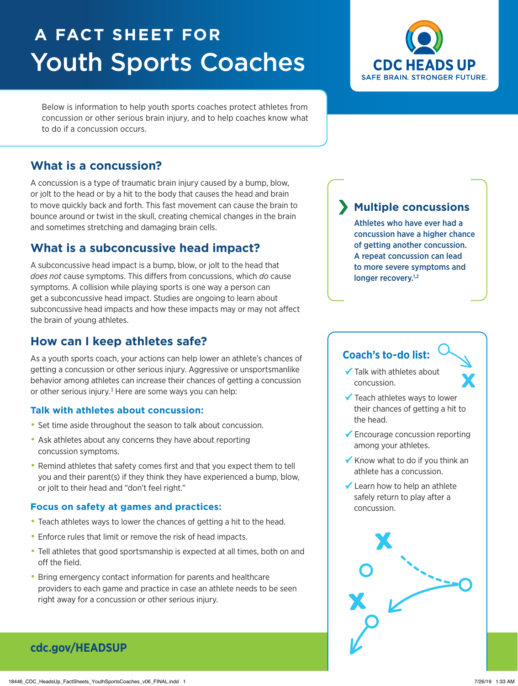# **A FACT SHEET FOR** Youth Sports Coaches



Below is information to help youth sports coaches protect athletes from concussion or other serious brain injury, and to help coaches know what to do if a concussion occurs.

# **What is a concussion?**

A concussion is a type of traumatic brain injury caused by a bump, blow, or jolt to the head or by a hit to the body that causes the head and brain to move quickly back and forth. This fast movement can cause the brain to bounce around or twist in the skull, creating chemical changes in the brain and sometimes stretching and damaging brain cells.

# **What is a subconcussive head impact?**

A subconcussive head impact is a bump, blow, or jolt to the head that *does not* cause symptoms. This differs from concussions, which *do* cause symptoms. A collision while playing sports is one way a person can get a subconcussive head impact. Studies are ongoing to learn about subconcussive head impacts and how these impacts may or may not affect the brain of young athletes.

# **How can I keep athletes safe?**

As a youth sports coach, your actions can help lower an athlete's chances of getting a concussion or other serious injury. Aggressive or unsportsmanlike behavior among athletes can increase their chances of getting a concussion or other serious injury.<sup>3</sup> Here are some ways you can help:

### **Talk with athletes about concussion:**

- Set time aside throughout the season to talk about concussion.
- Ask athletes about any concerns they have about reporting concussion symptoms.
- Remind athletes that safety comes first and that you expect them to tell you and their parent(s) if they think they have experienced a bump, blow, or jolt to their head and "don't feel right."

### **Focus on safety at games and practices:**

- Teach athletes ways to lower the chances of getting a hit to the head.
- Enforce rules that limit or remove the risk of head impacts.
- Tell athletes that good sportsmanship is expected at all times, both on and off the field.
- Bring emergency contact information for parents and healthcare providers to each game and practice in case an athlete needs to be seen right away for a concussion or other serious injury.

# **Multiple concussions**

Athletes who have ever had a concussion have a higher chance of getting another concussion. A repeat concussion can lead to more severe symptoms and longer recovery.<sup>1,2</sup>

# **Coach's to-do list:**

- ◆ Talk with athletes about concussion.
- ◆ Teach athletes ways to lower their chances of getting a hit to the head.
- ◆ Encourage concussion reporting among your athletes.
- Know what to do if you think an athlete has a concussion.
- $\checkmark$  Learn how to help an athlete safely return to play after a concussion.



# **[cdc.gov/HE](http://www.cdc.gov/HeadsUp)ADSUP**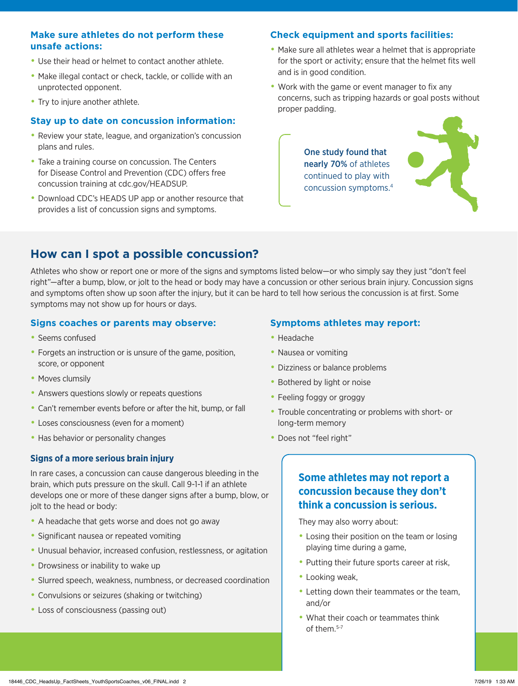### **Make sure athletes do not perform these unsafe actions:**

- Use their head or helmet to contact another athlete.
- Make illegal contact or check, tackle, or collide with an unprotected opponent.
- Try to injure another athlete.

#### **Stay up to date on concussion information:**

- Review your state, league, and organization's concussion plans and rules.
- Take a training course on concussion. The Centers for Disease Control and Prevention (CDC) offers free concussion training at cdc.gov/HEADSUP.
- Download CDC's HEADS UP app or another resource that provides a list of concussion signs and symptoms.

#### **Check equipment and sports facilities:**

- Make sure all athletes wear a helmet that is appropriate for the sport or activity; ensure that the helmet fits well and is in good condition.
- Work with the game or event manager to fix any concerns, such as tripping hazards or goal posts without proper padding.

One study found that nearly 70% of athletes continued to play with concussion symptoms.4



## **How can I spot a possible concussion?**

Athletes who show or report one or more of the signs and symptoms listed below—or who simply say they just "don't feel right"—after a bump, blow, or jolt to the head or body may have a concussion or other serious brain injury. Concussion signs and symptoms often show up soon after the injury, but it can be hard to tell how serious the concussion is at first. Some symptoms may not show up for hours or days.

#### **Signs coaches or parents may observe:**

- Seems confused
- Forgets an instruction or is unsure of the game, position, score, or opponent
- Moves clumsily
- Answers questions slowly or repeats questions
- Can't remember events before or after the hit, bump, or fall
- Loses consciousness (even for a moment)
- Has behavior or personality changes

#### **Signs of a more serious brain injury**

In rare cases, a concussion can cause dangerous bleeding in the brain, which puts pressure on the skull. Call 9-1-1 if an athlete develops one or more of these danger signs after a bump, blow, or jolt to the head or body:

- A headache that gets worse and does not go away
- Significant nausea or repeated vomiting
- Unusual behavior, increased confusion, restlessness, or agitation
- Drowsiness or inability to wake up
- Slurred speech, weakness, numbness, or decreased coordination
- Convulsions or seizures (shaking or twitching)
- Loss of consciousness (passing out)

#### **Symptoms athletes may report:**

- Headache
- Nausea or vomiting
- Dizziness or balance problems
- Bothered by light or noise
- Feeling foggy or groggy
- Trouble concentrating or problems with short- or long-term memory
- Does not "feel right"

### **Some athletes may not report a concussion because they don't think a concussion is serious.**

They may also worry about:

- Losing their position on the team or losing playing time during a game,
- Putting their future sports career at risk,
- Looking weak,
- Letting down their teammates or the team, and/or
- What their coach or teammates think of them.5-7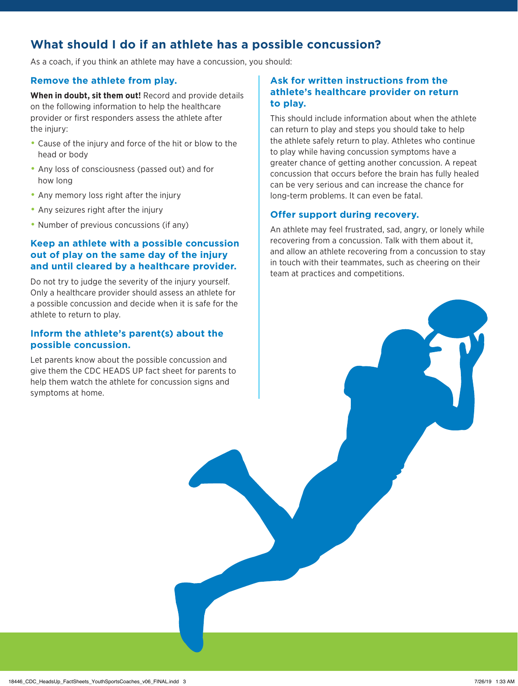# **What should I do if an athlete has a possible concussion?**

As a coach, if you think an athlete may have a concussion, you should:

### **Remove the athlete from play.**

**When in doubt, sit them out!** Record and provide details on the following information to help the healthcare provider or first responders assess the athlete after the injury:

- Cause of the injury and force of the hit or blow to the head or body
- Any loss of consciousness (passed out) and for how long
- Any memory loss right after the injury
- Any seizures right after the injury
- Number of previous concussions (if any)

### **Keep an athlete with a possible concussion out of play on the same day of the injury and until cleared by a healthcare provider.**

Do not try to judge the severity of the injury yourself. Only a healthcare provider should assess an athlete for a possible concussion and decide when it is safe for the athlete to return to play.

### **Inform the athlete's parent(s) about the possible concussion.**

Let parents know about the possible concussion and give them the CDC HEADS UP fact sheet for parents to help them watch the athlete for concussion signs and symptoms at home.

### **Ask for written instructions from the athlete's healthcare provider on return to play.**

This should include information about when the athlete can return to play and steps you should take to help the athlete safely return to play. Athletes who continue to play while having concussion symptoms have a greater chance of getting another concussion. A repeat concussion that occurs before the brain has fully healed can be very serious and can increase the chance for long-term problems. It can even be fatal.

### **Offer support during recovery.**

An athlete may feel frustrated, sad, angry, or lonely while recovering from a concussion. Talk with them about it, and allow an athlete recovering from a concussion to stay in touch with their teammates, such as cheering on their team at practices and competitions.